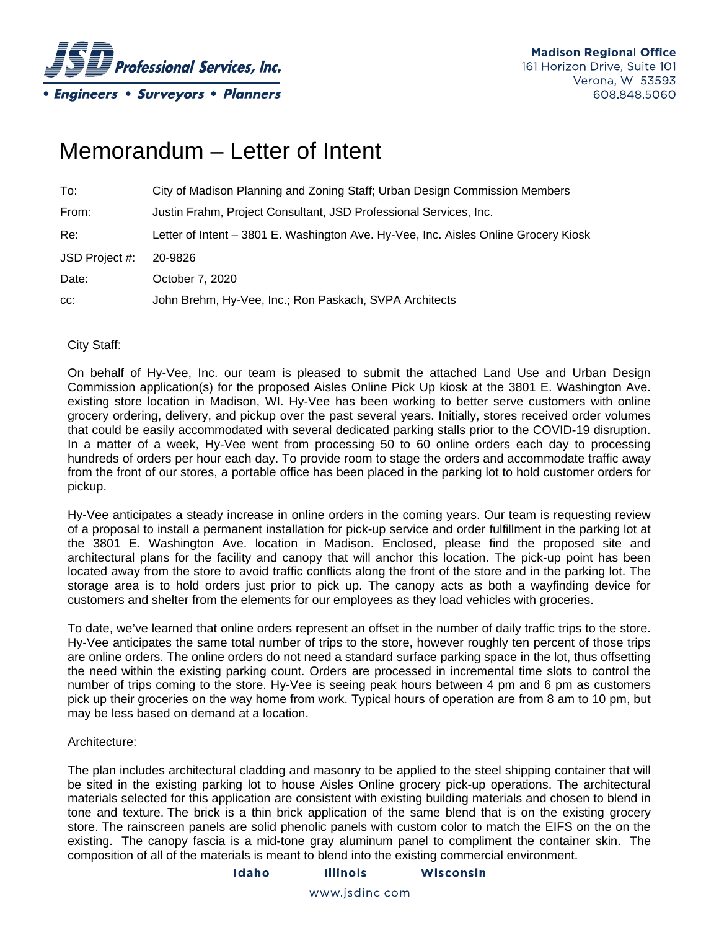

# Memorandum – Letter of Intent

| To:            | City of Madison Planning and Zoning Staff; Urban Design Commission Members          |
|----------------|-------------------------------------------------------------------------------------|
| From:          | Justin Frahm, Project Consultant, JSD Professional Services, Inc.                   |
| Re:            | Letter of Intent - 3801 E. Washington Ave. Hy-Vee, Inc. Aisles Online Grocery Kiosk |
| JSD Project #: | 20-9826                                                                             |
| Date:          | October 7, 2020                                                                     |
| CC:            | John Brehm, Hy-Vee, Inc.; Ron Paskach, SVPA Architects                              |

# City Staff:

On behalf of Hy-Vee, Inc. our team is pleased to submit the attached Land Use and Urban Design Commission application(s) for the proposed Aisles Online Pick Up kiosk at the 3801 E. Washington Ave. existing store location in Madison, WI. Hy-Vee has been working to better serve customers with online grocery ordering, delivery, and pickup over the past several years. Initially, stores received order volumes that could be easily accommodated with several dedicated parking stalls prior to the COVID-19 disruption. In a matter of a week, Hy-Vee went from processing 50 to 60 online orders each day to processing hundreds of orders per hour each day. To provide room to stage the orders and accommodate traffic away from the front of our stores, a portable office has been placed in the parking lot to hold customer orders for pickup.

Hy-Vee anticipates a steady increase in online orders in the coming years. Our team is requesting review of a proposal to install a permanent installation for pick-up service and order fulfillment in the parking lot at the 3801 E. Washington Ave. location in Madison. Enclosed, please find the proposed site and architectural plans for the facility and canopy that will anchor this location. The pick-up point has been located away from the store to avoid traffic conflicts along the front of the store and in the parking lot. The storage area is to hold orders just prior to pick up. The canopy acts as both a wayfinding device for customers and shelter from the elements for our employees as they load vehicles with groceries.

To date, we've learned that online orders represent an offset in the number of daily traffic trips to the store. Hy-Vee anticipates the same total number of trips to the store, however roughly ten percent of those trips are online orders. The online orders do not need a standard surface parking space in the lot, thus offsetting the need within the existing parking count. Orders are processed in incremental time slots to control the number of trips coming to the store. Hy-Vee is seeing peak hours between 4 pm and 6 pm as customers pick up their groceries on the way home from work. Typical hours of operation are from 8 am to 10 pm, but may be less based on demand at a location.

### Architecture:

The plan includes architectural cladding and masonry to be applied to the steel shipping container that will be sited in the existing parking lot to house Aisles Online grocery pick-up operations. The architectural materials selected for this application are consistent with existing building materials and chosen to blend in tone and texture. The brick is a thin brick application of the same blend that is on the existing grocery store. The rainscreen panels are solid phenolic panels with custom color to match the EIFS on the on the existing. The canopy fascia is a mid-tone gray aluminum panel to compliment the container skin. The composition of all of the materials is meant to blend into the existing commercial environment.